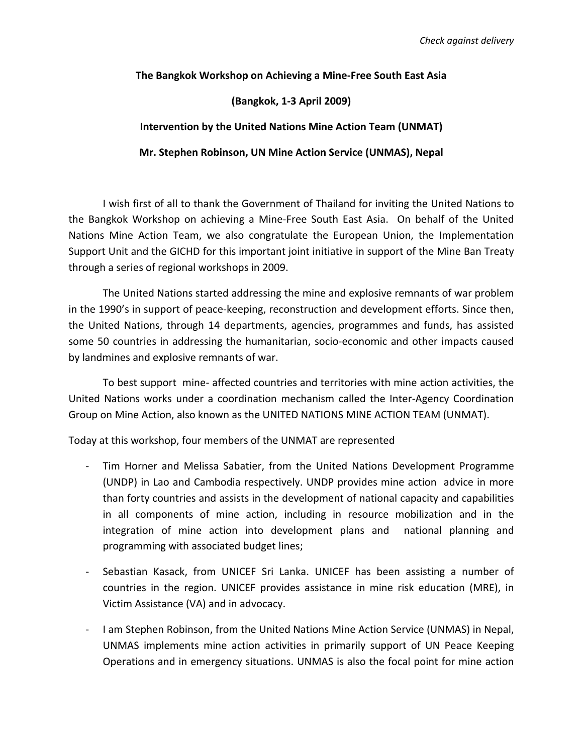**The Bangkok Workshop on Achieving a Mine‐Free South East Asia**

## **(Bangkok, 1‐3 April 2009)**

## **Intervention by the United Nations Mine Action Team (UNMAT)**

**Mr. Stephen Robinson, UN Mine Action Service (UNMAS), Nepal**

I wish first of all to thank the Government of Thailand for inviting the United Nations to the Bangkok Workshop on achieving a Mine‐Free South East Asia. On behalf of the United Nations Mine Action Team, we also congratulate the European Union, the Implementation Support Unit and the GICHD for this important joint initiative in support of the Mine Ban Treaty through a series of regional workshops in 2009.

The United Nations started addressing the mine and explosive remnants of war problem in the 1990's in support of peace-keeping, reconstruction and development efforts. Since then, the United Nations, through 14 departments, agencies, programmes and funds, has assisted some 50 countries in addressing the humanitarian, socio-economic and other impacts caused by landmines and explosive remnants of war.

To best support mine‐ affected countries and territories with mine action activities, the United Nations works under a coordination mechanism called the Inter‐Agency Coordination Group on Mine Action, also known as the UNITED NATIONS MINE ACTION TEAM (UNMAT).

Today at this workshop, four members of the UNMAT are represented

- ‐ Tim Horner and Melissa Sabatier, from the United Nations Development Programme (UNDP) in Lao and Cambodia respectively. UNDP provides mine action advice in more than forty countries and assists in the development of national capacity and capabilities in all components of mine action, including in resource mobilization and in the integration of mine action into development plans and national planning and programming with associated budget lines;
- Sebastian Kasack, from UNICEF Sri Lanka. UNICEF has been assisting a number of countries in the region. UNICEF provides assistance in mine risk education (MRE), in Victim Assistance (VA) and in advocacy.
- ‐ I am Stephen Robinson, from the United Nations Mine Action Service (UNMAS) in Nepal, UNMAS implements mine action activities in primarily support of UN Peace Keeping Operations and in emergency situations. UNMAS is also the focal point for mine action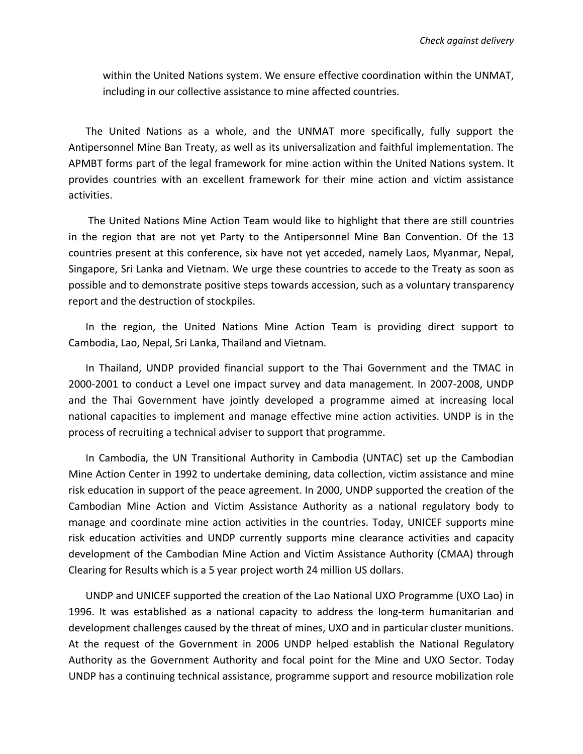within the United Nations system. We ensure effective coordination within the UNMAT, including in our collective assistance to mine affected countries.

The United Nations as a whole, and the UNMAT more specifically, fully support the Antipersonnel Mine Ban Treaty, as well as its universalization and faithful implementation. The APMBT forms part of the legal framework for mine action within the United Nations system. It provides countries with an excellent framework for their mine action and victim assistance activities.

The United Nations Mine Action Team would like to highlight that there are still countries in the region that are not yet Party to the Antipersonnel Mine Ban Convention. Of the 13 countries present at this conference, six have not yet acceded, namely Laos, Myanmar, Nepal, Singapore, Sri Lanka and Vietnam. We urge these countries to accede to the Treaty as soon as possible and to demonstrate positive steps towards accession, such as a voluntary transparency report and the destruction of stockpiles.

In the region, the United Nations Mine Action Team is providing direct support to Cambodia, Lao, Nepal, Sri Lanka, Thailand and Vietnam.

In Thailand, UNDP provided financial support to the Thai Government and the TMAC in 2000‐2001 to conduct a Level one impact survey and data management. In 2007‐2008, UNDP and the Thai Government have jointly developed a programme aimed at increasing local national capacities to implement and manage effective mine action activities. UNDP is in the process of recruiting a technical adviser to support that programme.

In Cambodia, the UN Transitional Authority in Cambodia (UNTAC) set up the Cambodian Mine Action Center in 1992 to undertake demining, data collection, victim assistance and mine risk education in support of the peace agreement. In 2000, UNDP supported the creation of the Cambodian Mine Action and Victim Assistance Authority as a national regulatory body to manage and coordinate mine action activities in the countries. Today, UNICEF supports mine risk education activities and UNDP currently supports mine clearance activities and capacity development of the Cambodian Mine Action and Victim Assistance Authority (CMAA) through Clearing for Results which is a 5 year project worth 24 million US dollars.

UNDP and UNICEF supported the creation of the Lao National UXO Programme (UXO Lao) in 1996. It was established as a national capacity to address the long-term humanitarian and development challenges caused by the threat of mines, UXO and in particular cluster munitions. At the request of the Government in 2006 UNDP helped establish the National Regulatory Authority as the Government Authority and focal point for the Mine and UXO Sector. Today UNDP has a continuing technical assistance, programme support and resource mobilization role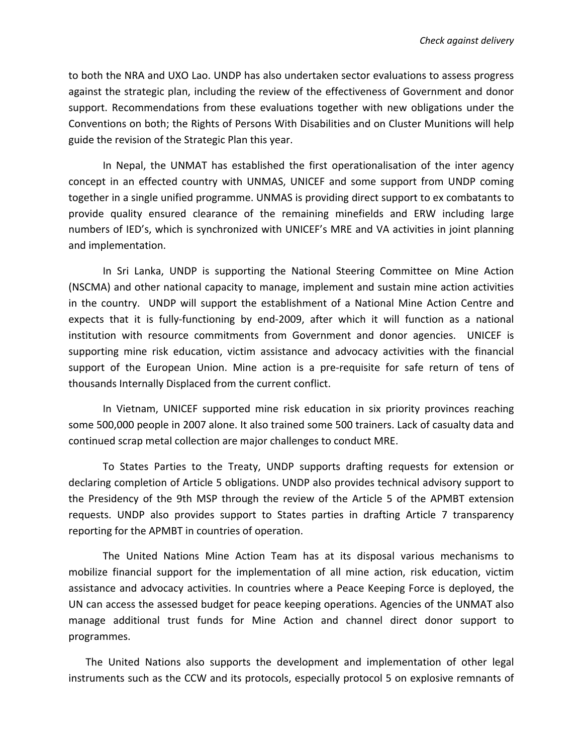to both the NRA and UXO Lao. UNDP has also undertaken sector evaluations to assess progress against the strategic plan, including the review of the effectiveness of Government and donor support. Recommendations from these evaluations together with new obligations under the Conventions on both; the Rights of Persons With Disabilities and on Cluster Munitions will help guide the revision of the Strategic Plan this year.

In Nepal, the UNMAT has established the first operationalisation of the inter agency concept in an effected country with UNMAS, UNICEF and some support from UNDP coming together in a single unified programme. UNMAS is providing direct support to ex combatants to provide quality ensured clearance of the remaining minefields and ERW including large numbers of IED's, which is synchronized with UNICEF's MRE and VA activities in joint planning and implementation.

In Sri Lanka, UNDP is supporting the National Steering Committee on Mine Action (NSCMA) and other national capacity to manage, implement and sustain mine action activities in the country. UNDP will support the establishment of a National Mine Action Centre and expects that it is fully-functioning by end-2009, after which it will function as a national institution with resource commitments from Government and donor agencies. UNICEF is supporting mine risk education, victim assistance and advocacy activities with the financial support of the European Union. Mine action is a pre-requisite for safe return of tens of thousands Internally Displaced from the current conflict.

In Vietnam, UNICEF supported mine risk education in six priority provinces reaching some 500,000 people in 2007 alone. It also trained some 500 trainers. Lack of casualty data and continued scrap metal collection are major challenges to conduct MRE.

To States Parties to the Treaty, UNDP supports drafting requests for extension or declaring completion of Article 5 obligations. UNDP also provides technical advisory support to the Presidency of the 9th MSP through the review of the Article 5 of the APMBT extension requests. UNDP also provides support to States parties in drafting Article 7 transparency reporting for the APMBT in countries of operation.

The United Nations Mine Action Team has at its disposal various mechanisms to mobilize financial support for the implementation of all mine action, risk education, victim assistance and advocacy activities. In countries where a Peace Keeping Force is deployed, the UN can access the assessed budget for peace keeping operations. Agencies of the UNMAT also manage additional trust funds for Mine Action and channel direct donor support to programmes.

The United Nations also supports the development and implementation of other legal instruments such as the CCW and its protocols, especially protocol 5 on explosive remnants of